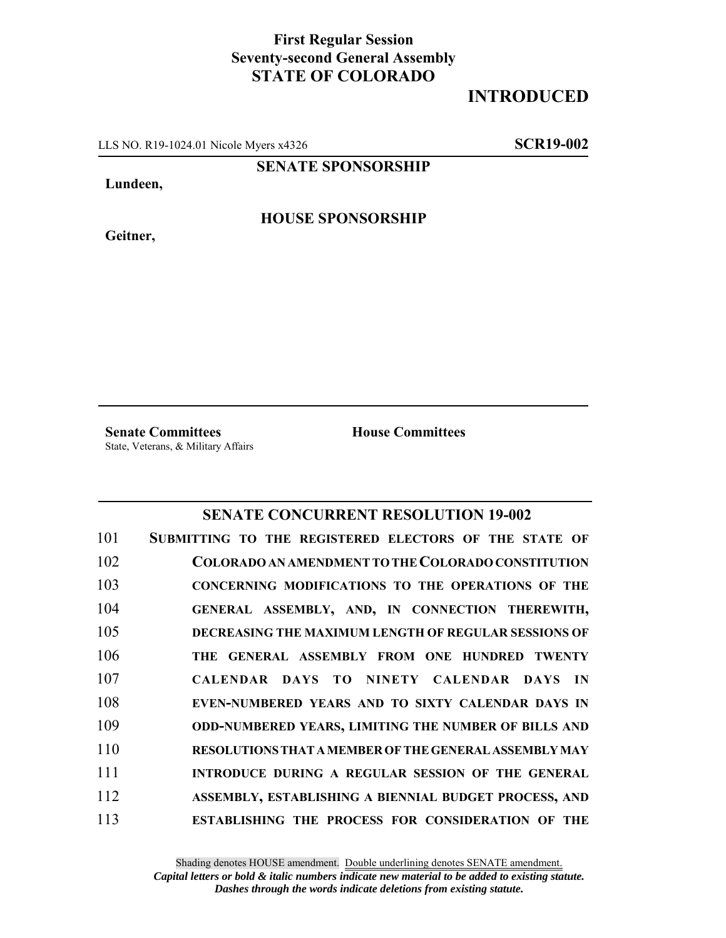## **First Regular Session Seventy-second General Assembly STATE OF COLORADO**

## **INTRODUCED**

LLS NO. R19-1024.01 Nicole Myers x4326 **SCR19-002**

**SENATE SPONSORSHIP**

**Lundeen,**

**Geitner,**

**HOUSE SPONSORSHIP**

**Senate Committees House Committees** State, Veterans, & Military Affairs

## **SENATE CONCURRENT RESOLUTION 19-002**

| 101 | SUBMITTING TO THE REGISTERED ELECTORS OF THE STATE OF       |
|-----|-------------------------------------------------------------|
| 102 | COLORADO AN AMENDMENT TO THE COLORADO CONSTITUTION          |
| 103 | CONCERNING MODIFICATIONS TO THE OPERATIONS OF THE           |
| 104 | GENERAL ASSEMBLY, AND, IN CONNECTION THEREWITH,             |
| 105 | DECREASING THE MAXIMUM LENGTH OF REGULAR SESSIONS OF        |
| 106 | THE GENERAL ASSEMBLY FROM ONE HUNDRED TWENTY                |
| 107 | CALENDAR DAYS TO NINETY CALENDAR DAYS IN                    |
| 108 | EVEN-NUMBERED YEARS AND TO SIXTY CALENDAR DAYS IN           |
| 109 | <b>ODD-NUMBERED YEARS, LIMITING THE NUMBER OF BILLS AND</b> |
| 110 | RESOLUTIONS THAT A MEMBER OF THE GENERAL ASSEMBLY MAY       |
| 111 | INTRODUCE DURING A REGULAR SESSION OF THE GENERAL           |
| 112 | ASSEMBLY, ESTABLISHING A BIENNIAL BUDGET PROCESS, AND       |
| 113 | <b>ESTABLISHING THE PROCESS FOR CONSIDERATION OF THE</b>    |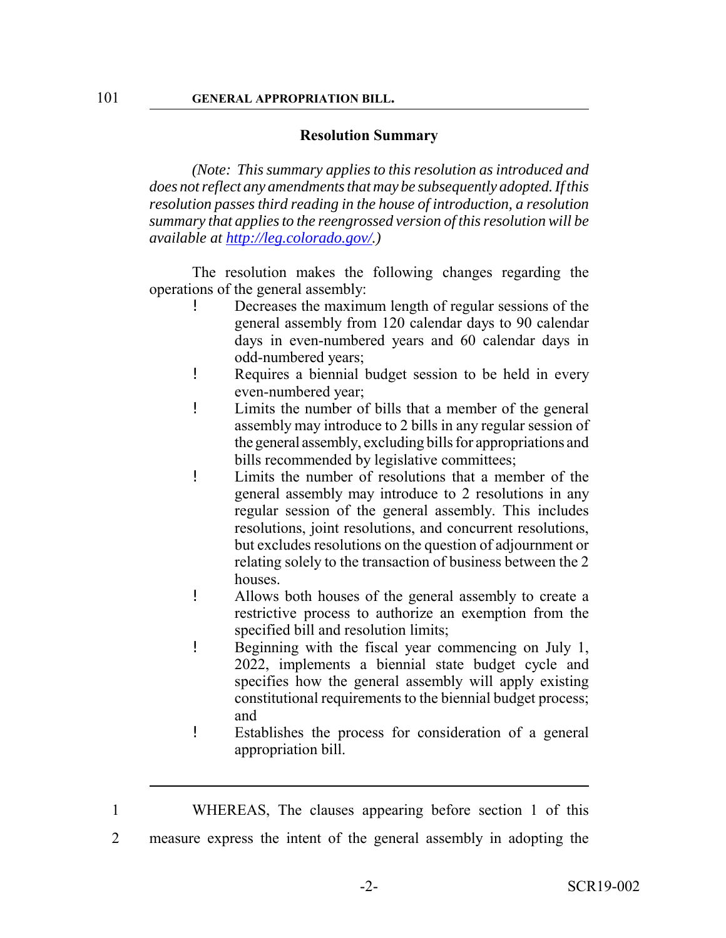## **Resolution Summary**

*(Note: This summary applies to this resolution as introduced and does not reflect any amendments that may be subsequently adopted. If this resolution passes third reading in the house of introduction, a resolution summary that applies to the reengrossed version of this resolution will be available at http://leg.colorado.gov/.)*

The resolution makes the following changes regarding the operations of the general assembly:

- Decreases the maximum length of regular sessions of the general assembly from 120 calendar days to 90 calendar days in even-numbered years and 60 calendar days in odd-numbered years;
- ! Requires a biennial budget session to be held in every even-numbered year;
- ! Limits the number of bills that a member of the general assembly may introduce to 2 bills in any regular session of the general assembly, excluding bills for appropriations and bills recommended by legislative committees;
- ! Limits the number of resolutions that a member of the general assembly may introduce to 2 resolutions in any regular session of the general assembly. This includes resolutions, joint resolutions, and concurrent resolutions, but excludes resolutions on the question of adjournment or relating solely to the transaction of business between the 2 houses.
- ! Allows both houses of the general assembly to create a restrictive process to authorize an exemption from the specified bill and resolution limits;
- ! Beginning with the fiscal year commencing on July 1, 2022, implements a biennial state budget cycle and specifies how the general assembly will apply existing constitutional requirements to the biennial budget process; and
- ! Establishes the process for consideration of a general appropriation bill.
- 1 WHEREAS, The clauses appearing before section 1 of this
- 2 measure express the intent of the general assembly in adopting the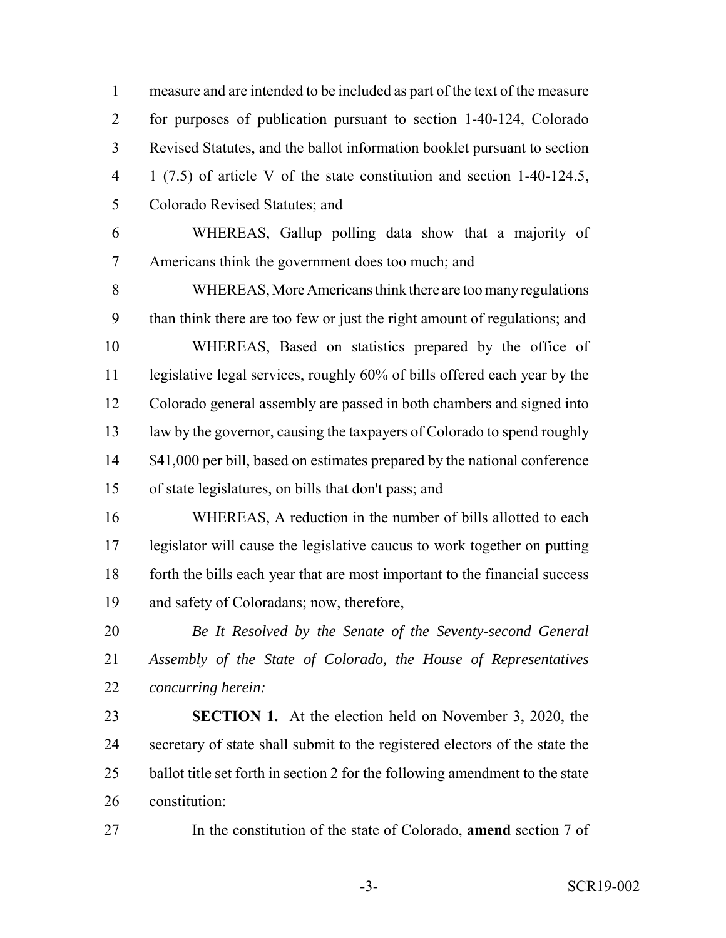measure and are intended to be included as part of the text of the measure for purposes of publication pursuant to section 1-40-124, Colorado Revised Statutes, and the ballot information booklet pursuant to section 1 (7.5) of article V of the state constitution and section 1-40-124.5, Colorado Revised Statutes; and

 WHEREAS, Gallup polling data show that a majority of Americans think the government does too much; and

 WHEREAS, More Americans think there are too many regulations than think there are too few or just the right amount of regulations; and WHEREAS, Based on statistics prepared by the office of 11 legislative legal services, roughly 60% of bills offered each year by the Colorado general assembly are passed in both chambers and signed into law by the governor, causing the taxpayers of Colorado to spend roughly 14 \$41,000 per bill, based on estimates prepared by the national conference of state legislatures, on bills that don't pass; and

 WHEREAS, A reduction in the number of bills allotted to each legislator will cause the legislative caucus to work together on putting forth the bills each year that are most important to the financial success and safety of Coloradans; now, therefore,

 *Be It Resolved by the Senate of the Seventy-second General Assembly of the State of Colorado, the House of Representatives concurring herein:*

 **SECTION 1.** At the election held on November 3, 2020, the secretary of state shall submit to the registered electors of the state the 25 ballot title set forth in section 2 for the following amendment to the state constitution:

In the constitution of the state of Colorado, **amend** section 7 of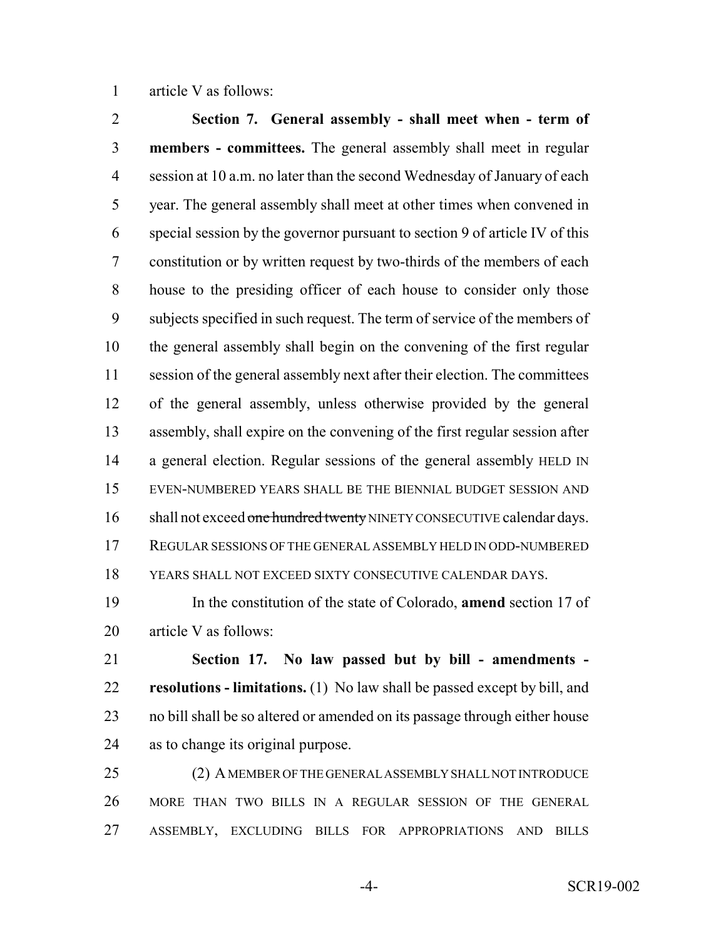article V as follows:

 **Section 7. General assembly - shall meet when - term of members - committees.** The general assembly shall meet in regular session at 10 a.m. no later than the second Wednesday of January of each year. The general assembly shall meet at other times when convened in special session by the governor pursuant to section 9 of article IV of this constitution or by written request by two-thirds of the members of each house to the presiding officer of each house to consider only those subjects specified in such request. The term of service of the members of the general assembly shall begin on the convening of the first regular session of the general assembly next after their election. The committees of the general assembly, unless otherwise provided by the general assembly, shall expire on the convening of the first regular session after 14 a general election. Regular sessions of the general assembly HELD IN EVEN-NUMBERED YEARS SHALL BE THE BIENNIAL BUDGET SESSION AND 16 shall not exceed one hundred twenty NINETY CONSECUTIVE calendar days. REGULAR SESSIONS OF THE GENERAL ASSEMBLY HELD IN ODD-NUMBERED YEARS SHALL NOT EXCEED SIXTY CONSECUTIVE CALENDAR DAYS.

 In the constitution of the state of Colorado, **amend** section 17 of article V as follows:

 **Section 17. No law passed but by bill - amendments - resolutions - limitations.** (1) No law shall be passed except by bill, and no bill shall be so altered or amended on its passage through either house as to change its original purpose.

 (2) A MEMBER OF THE GENERAL ASSEMBLY SHALL NOT INTRODUCE MORE THAN TWO BILLS IN A REGULAR SESSION OF THE GENERAL ASSEMBLY, EXCLUDING BILLS FOR APPROPRIATIONS AND BILLS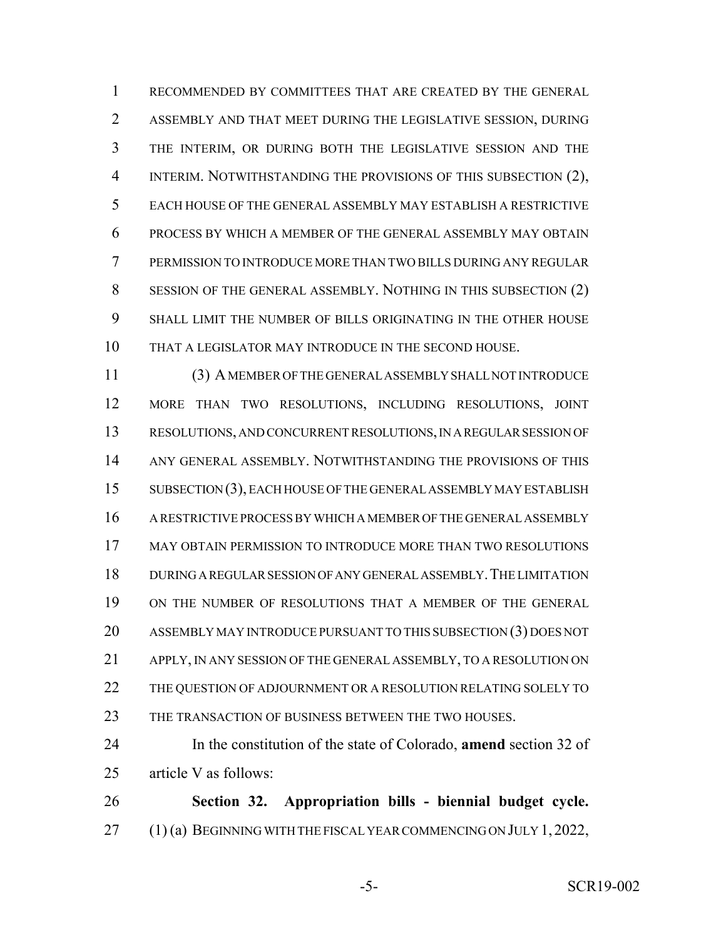RECOMMENDED BY COMMITTEES THAT ARE CREATED BY THE GENERAL ASSEMBLY AND THAT MEET DURING THE LEGISLATIVE SESSION, DURING THE INTERIM, OR DURING BOTH THE LEGISLATIVE SESSION AND THE INTERIM. NOTWITHSTANDING THE PROVISIONS OF THIS SUBSECTION (2), EACH HOUSE OF THE GENERAL ASSEMBLY MAY ESTABLISH A RESTRICTIVE PROCESS BY WHICH A MEMBER OF THE GENERAL ASSEMBLY MAY OBTAIN PERMISSION TO INTRODUCE MORE THAN TWO BILLS DURING ANY REGULAR SESSION OF THE GENERAL ASSEMBLY. NOTHING IN THIS SUBSECTION (2) SHALL LIMIT THE NUMBER OF BILLS ORIGINATING IN THE OTHER HOUSE THAT A LEGISLATOR MAY INTRODUCE IN THE SECOND HOUSE.

 (3) A MEMBER OF THE GENERAL ASSEMBLY SHALL NOT INTRODUCE MORE THAN TWO RESOLUTIONS, INCLUDING RESOLUTIONS, JOINT RESOLUTIONS, AND CONCURRENT RESOLUTIONS, IN A REGULAR SESSION OF ANY GENERAL ASSEMBLY. NOTWITHSTANDING THE PROVISIONS OF THIS SUBSECTION (3), EACH HOUSE OF THE GENERAL ASSEMBLY MAY ESTABLISH A RESTRICTIVE PROCESS BY WHICH A MEMBER OF THE GENERAL ASSEMBLY MAY OBTAIN PERMISSION TO INTRODUCE MORE THAN TWO RESOLUTIONS DURING A REGULAR SESSION OF ANY GENERAL ASSEMBLY.THE LIMITATION ON THE NUMBER OF RESOLUTIONS THAT A MEMBER OF THE GENERAL ASSEMBLY MAY INTRODUCE PURSUANT TO THIS SUBSECTION (3) DOES NOT APPLY, IN ANY SESSION OF THE GENERAL ASSEMBLY, TO A RESOLUTION ON 22 THE QUESTION OF ADJOURNMENT OR A RESOLUTION RELATING SOLELY TO THE TRANSACTION OF BUSINESS BETWEEN THE TWO HOUSES.

 In the constitution of the state of Colorado, **amend** section 32 of article V as follows:

 **Section 32. Appropriation bills - biennial budget cycle.** 27 (1) (a) BEGINNING WITH THE FISCAL YEAR COMMENCING ON JULY 1, 2022,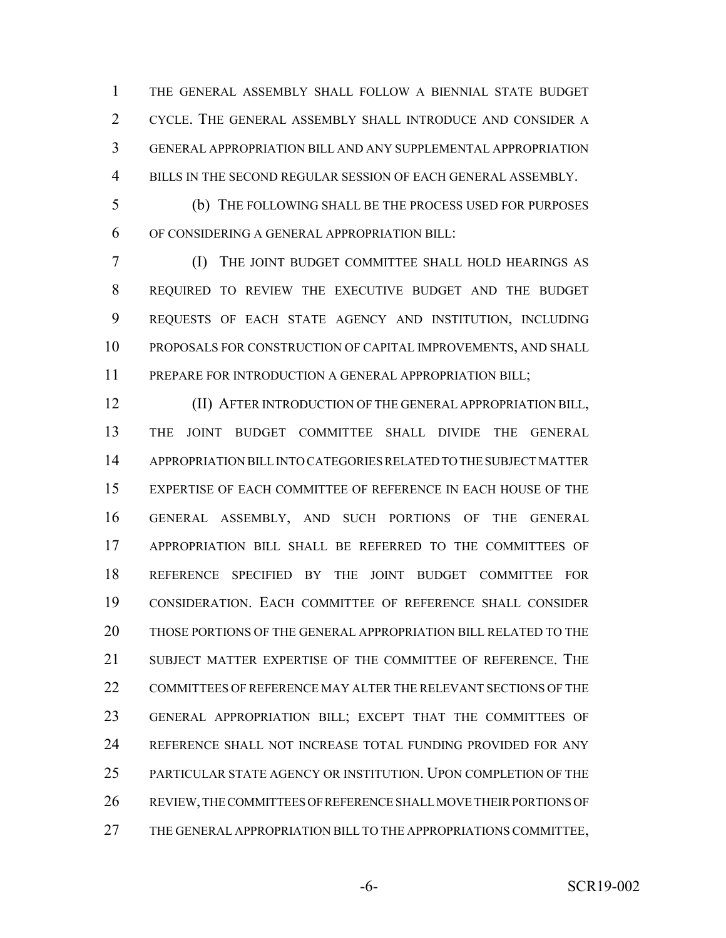THE GENERAL ASSEMBLY SHALL FOLLOW A BIENNIAL STATE BUDGET CYCLE. THE GENERAL ASSEMBLY SHALL INTRODUCE AND CONSIDER A GENERAL APPROPRIATION BILL AND ANY SUPPLEMENTAL APPROPRIATION BILLS IN THE SECOND REGULAR SESSION OF EACH GENERAL ASSEMBLY.

 (b) THE FOLLOWING SHALL BE THE PROCESS USED FOR PURPOSES OF CONSIDERING A GENERAL APPROPRIATION BILL:

 (I) THE JOINT BUDGET COMMITTEE SHALL HOLD HEARINGS AS REQUIRED TO REVIEW THE EXECUTIVE BUDGET AND THE BUDGET REQUESTS OF EACH STATE AGENCY AND INSTITUTION, INCLUDING PROPOSALS FOR CONSTRUCTION OF CAPITAL IMPROVEMENTS, AND SHALL 11 PREPARE FOR INTRODUCTION A GENERAL APPROPRIATION BILL;

 (II) AFTER INTRODUCTION OF THE GENERAL APPROPRIATION BILL, THE JOINT BUDGET COMMITTEE SHALL DIVIDE THE GENERAL APPROPRIATION BILL INTO CATEGORIES RELATED TO THE SUBJECT MATTER EXPERTISE OF EACH COMMITTEE OF REFERENCE IN EACH HOUSE OF THE GENERAL ASSEMBLY, AND SUCH PORTIONS OF THE GENERAL APPROPRIATION BILL SHALL BE REFERRED TO THE COMMITTEES OF REFERENCE SPECIFIED BY THE JOINT BUDGET COMMITTEE FOR CONSIDERATION. EACH COMMITTEE OF REFERENCE SHALL CONSIDER THOSE PORTIONS OF THE GENERAL APPROPRIATION BILL RELATED TO THE SUBJECT MATTER EXPERTISE OF THE COMMITTEE OF REFERENCE. THE COMMITTEES OF REFERENCE MAY ALTER THE RELEVANT SECTIONS OF THE GENERAL APPROPRIATION BILL; EXCEPT THAT THE COMMITTEES OF REFERENCE SHALL NOT INCREASE TOTAL FUNDING PROVIDED FOR ANY PARTICULAR STATE AGENCY OR INSTITUTION. UPON COMPLETION OF THE REVIEW, THE COMMITTEES OF REFERENCE SHALL MOVE THEIR PORTIONS OF THE GENERAL APPROPRIATION BILL TO THE APPROPRIATIONS COMMITTEE,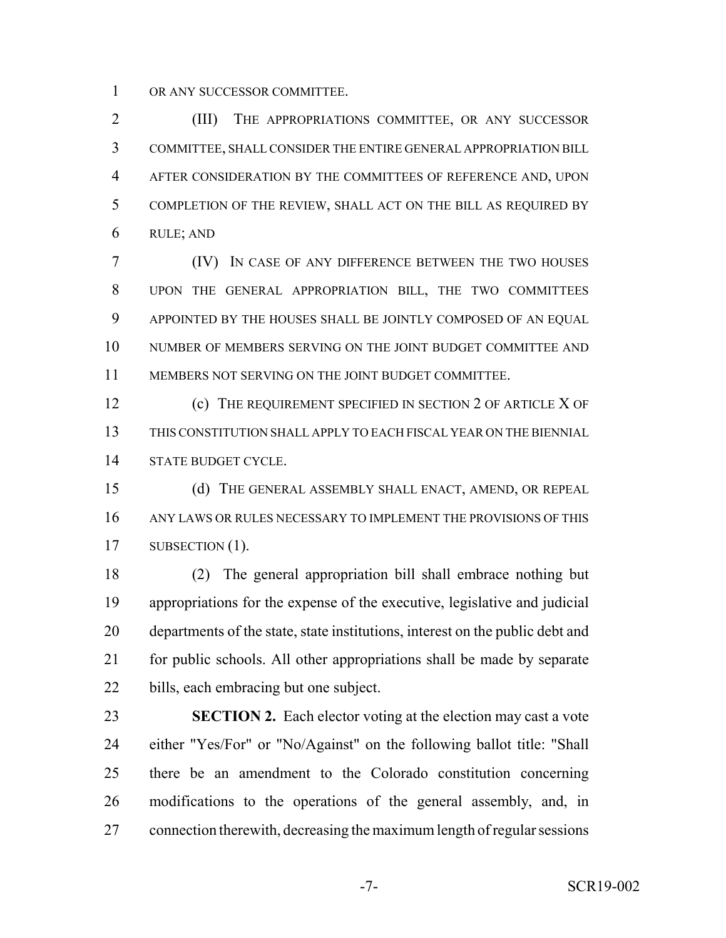OR ANY SUCCESSOR COMMITTEE.

 (III) THE APPROPRIATIONS COMMITTEE, OR ANY SUCCESSOR COMMITTEE, SHALL CONSIDER THE ENTIRE GENERAL APPROPRIATION BILL AFTER CONSIDERATION BY THE COMMITTEES OF REFERENCE AND, UPON COMPLETION OF THE REVIEW, SHALL ACT ON THE BILL AS REQUIRED BY RULE; AND

 (IV) IN CASE OF ANY DIFFERENCE BETWEEN THE TWO HOUSES UPON THE GENERAL APPROPRIATION BILL, THE TWO COMMITTEES APPOINTED BY THE HOUSES SHALL BE JOINTLY COMPOSED OF AN EQUAL 10 NUMBER OF MEMBERS SERVING ON THE JOINT BUDGET COMMITTEE AND MEMBERS NOT SERVING ON THE JOINT BUDGET COMMITTEE.

**(c)** THE REQUIREMENT SPECIFIED IN SECTION 2 OF ARTICLE X OF THIS CONSTITUTION SHALL APPLY TO EACH FISCAL YEAR ON THE BIENNIAL STATE BUDGET CYCLE.

 (d) THE GENERAL ASSEMBLY SHALL ENACT, AMEND, OR REPEAL ANY LAWS OR RULES NECESSARY TO IMPLEMENT THE PROVISIONS OF THIS 17 SUBSECTION (1).

 (2) The general appropriation bill shall embrace nothing but appropriations for the expense of the executive, legislative and judicial departments of the state, state institutions, interest on the public debt and for public schools. All other appropriations shall be made by separate bills, each embracing but one subject.

 **SECTION 2.** Each elector voting at the election may cast a vote either "Yes/For" or "No/Against" on the following ballot title: "Shall there be an amendment to the Colorado constitution concerning modifications to the operations of the general assembly, and, in connection therewith, decreasing the maximum length of regular sessions